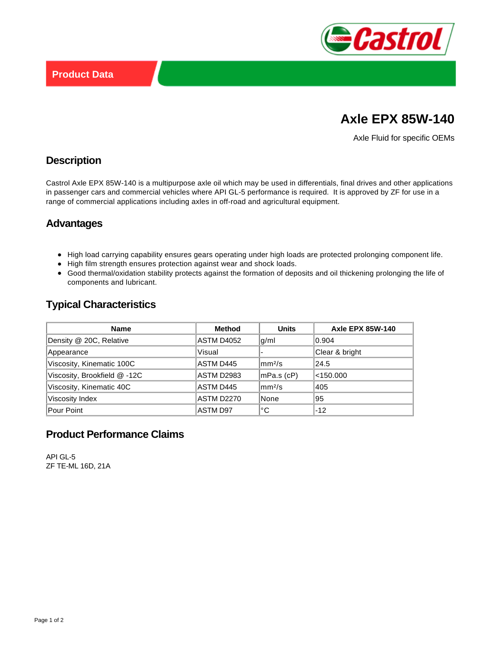

# **Axle EPX 85W-140**

Axle Fluid for specific OEMs

#### **Description**

Castrol Axle EPX 85W-140 is a multipurpose axle oil which may be used in differentials, final drives and other applications in passenger cars and commercial vehicles where API GL-5 performance is required. It is approved by ZF for use in a range of commercial applications including axles in off-road and agricultural equipment.

#### **Advantages**

- High load carrying capability ensures gears operating under high loads are protected prolonging component life.
- High film strength ensures protection against wear and shock loads.
- Good thermal/oxidation stability protects against the formation of deposits and oil thickening prolonging the life of components and lubricant.

## **Typical Characteristics**

| <b>Name</b>                  | <b>Method</b>   | <b>Units</b>         | <b>Axle EPX 85W-140</b> |
|------------------------------|-----------------|----------------------|-------------------------|
| Density @ 20C, Relative      | ASTM D4052      | g/ml                 | 0.904                   |
| Appearance                   | Visual          |                      | Clear & bright          |
| Viscosity, Kinematic 100C    | ASTM D445       | $\rm{mm}^{2}/\rm{s}$ | 24.5                    |
| Viscosity, Brookfield @ -12C | ASTM D2983      | mPa.s (cP)           | $<$ 150.000             |
| Viscosity, Kinematic 40C     | ASTM D445       | $\rm{mm}^{2}/\rm{s}$ | 405                     |
| Viscosity Index              | ASTM D2270      | None                 | 95                      |
| Pour Point                   | <b>ASTM D97</b> | °C                   | $-12$                   |

## **Product Performance Claims**

API GL-5 ZF TE-ML 16D, 21A